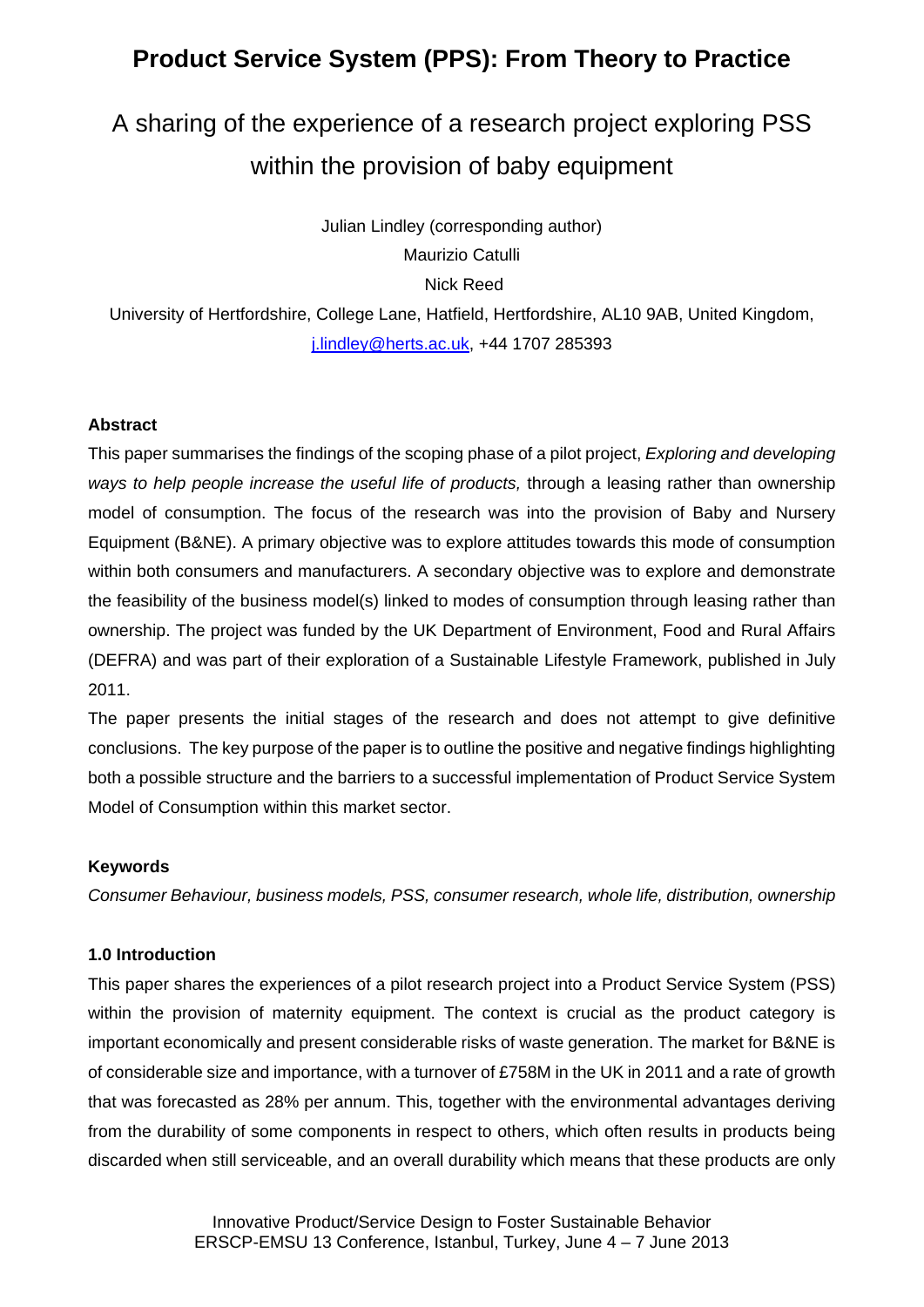# **Product Service System (PPS): From Theory to Practice**

# A sharing of the experience of a research project exploring PSS within the provision of baby equipment

Julian Lindley (corresponding author)

Maurizio Catulli

Nick Reed

University of Hertfordshire, College Lane, Hatfield, Hertfordshire, AL10 9AB, United Kingdom, j.lindley@herts.ac.uk, +44 1707 285393

#### **Abstract**

This paper summarises the findings of the scoping phase of a pilot project, *Exploring and developing ways to help people increase the useful life of products,* through a leasing rather than ownership model of consumption. The focus of the research was into the provision of Baby and Nursery Equipment (B&NE). A primary objective was to explore attitudes towards this mode of consumption within both consumers and manufacturers. A secondary objective was to explore and demonstrate the feasibility of the business model(s) linked to modes of consumption through leasing rather than ownership. The project was funded by the UK Department of Environment, Food and Rural Affairs (DEFRA) and was part of their exploration of a Sustainable Lifestyle Framework, published in July 2011.

The paper presents the initial stages of the research and does not attempt to give definitive conclusions. The key purpose of the paper is to outline the positive and negative findings highlighting both a possible structure and the barriers to a successful implementation of Product Service System Model of Consumption within this market sector.

#### **Keywords**

*Consumer Behaviour, business models, PSS, consumer research, whole life, distribution, ownership* 

#### **1.0 Introduction**

This paper shares the experiences of a pilot research project into a Product Service System (PSS) within the provision of maternity equipment. The context is crucial as the product category is important economically and present considerable risks of waste generation. The market for B&NE is of considerable size and importance, with a turnover of £758M in the UK in 2011 and a rate of growth that was forecasted as 28% per annum. This, together with the environmental advantages deriving from the durability of some components in respect to others, which often results in products being discarded when still serviceable, and an overall durability which means that these products are only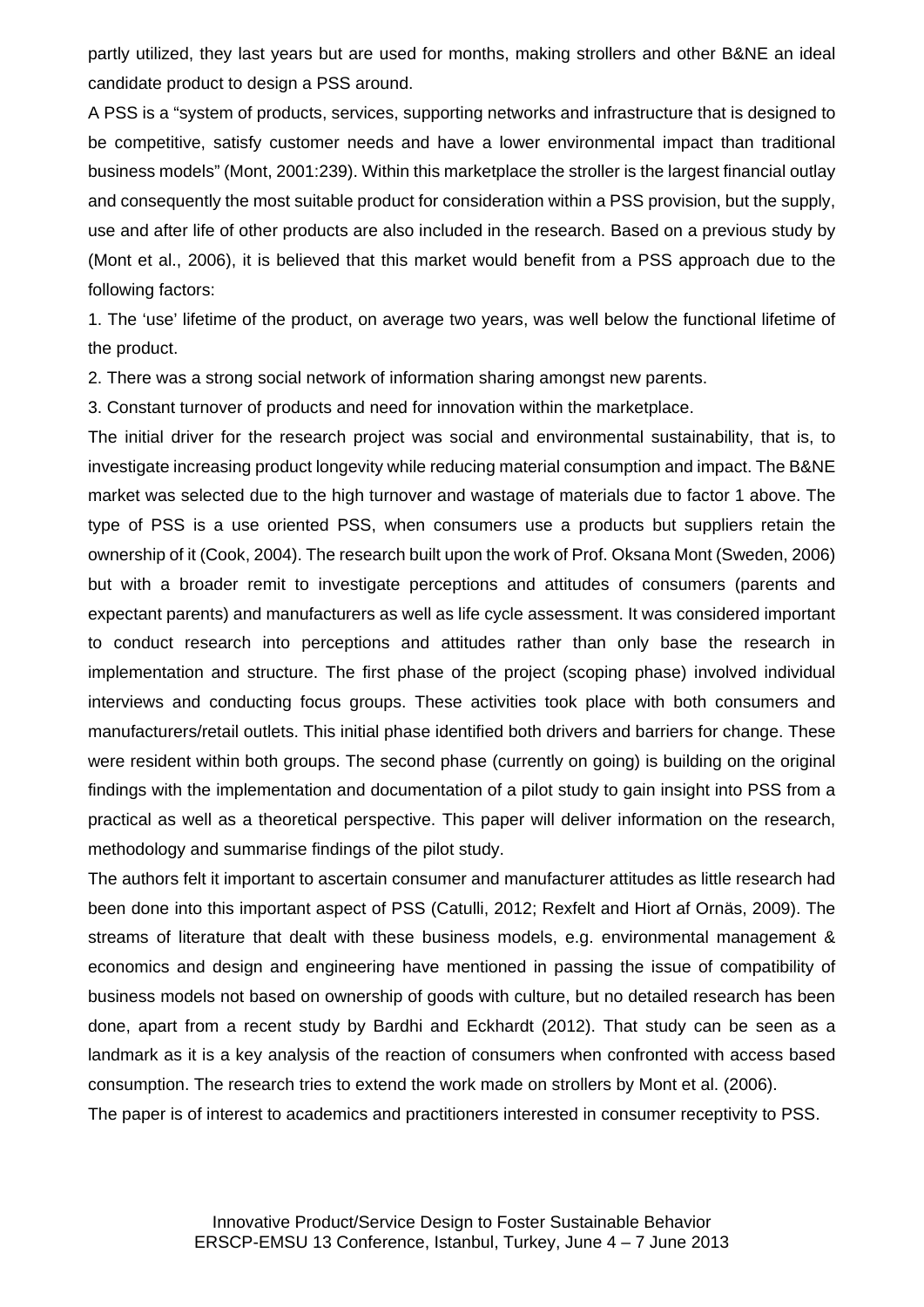partly utilized, they last years but are used for months, making strollers and other B&NE an ideal candidate product to design a PSS around.

A PSS is a "system of products, services, supporting networks and infrastructure that is designed to be competitive, satisfy customer needs and have a lower environmental impact than traditional business models" (Mont, 2001:239). Within this marketplace the stroller is the largest financial outlay and consequently the most suitable product for consideration within a PSS provision, but the supply, use and after life of other products are also included in the research. Based on a previous study by (Mont et al., 2006), it is believed that this market would benefit from a PSS approach due to the following factors:

1. The 'use' lifetime of the product, on average two years, was well below the functional lifetime of the product.

2. There was a strong social network of information sharing amongst new parents.

3. Constant turnover of products and need for innovation within the marketplace.

The initial driver for the research project was social and environmental sustainability, that is, to investigate increasing product longevity while reducing material consumption and impact. The B&NE market was selected due to the high turnover and wastage of materials due to factor 1 above. The type of PSS is a use oriented PSS, when consumers use a products but suppliers retain the ownership of it (Cook, 2004). The research built upon the work of Prof. Oksana Mont (Sweden, 2006) but with a broader remit to investigate perceptions and attitudes of consumers (parents and expectant parents) and manufacturers as well as life cycle assessment. It was considered important to conduct research into perceptions and attitudes rather than only base the research in implementation and structure. The first phase of the project (scoping phase) involved individual interviews and conducting focus groups. These activities took place with both consumers and manufacturers/retail outlets. This initial phase identified both drivers and barriers for change. These were resident within both groups. The second phase (currently on going) is building on the original findings with the implementation and documentation of a pilot study to gain insight into PSS from a practical as well as a theoretical perspective. This paper will deliver information on the research, methodology and summarise findings of the pilot study.

The authors felt it important to ascertain consumer and manufacturer attitudes as little research had been done into this important aspect of PSS (Catulli, 2012; Rexfelt and Hiort af Ornäs, 2009). The streams of literature that dealt with these business models, e.g. environmental management & economics and design and engineering have mentioned in passing the issue of compatibility of business models not based on ownership of goods with culture, but no detailed research has been done, apart from a recent study by Bardhi and Eckhardt (2012). That study can be seen as a landmark as it is a key analysis of the reaction of consumers when confronted with access based consumption. The research tries to extend the work made on strollers by Mont et al. (2006).

The paper is of interest to academics and practitioners interested in consumer receptivity to PSS.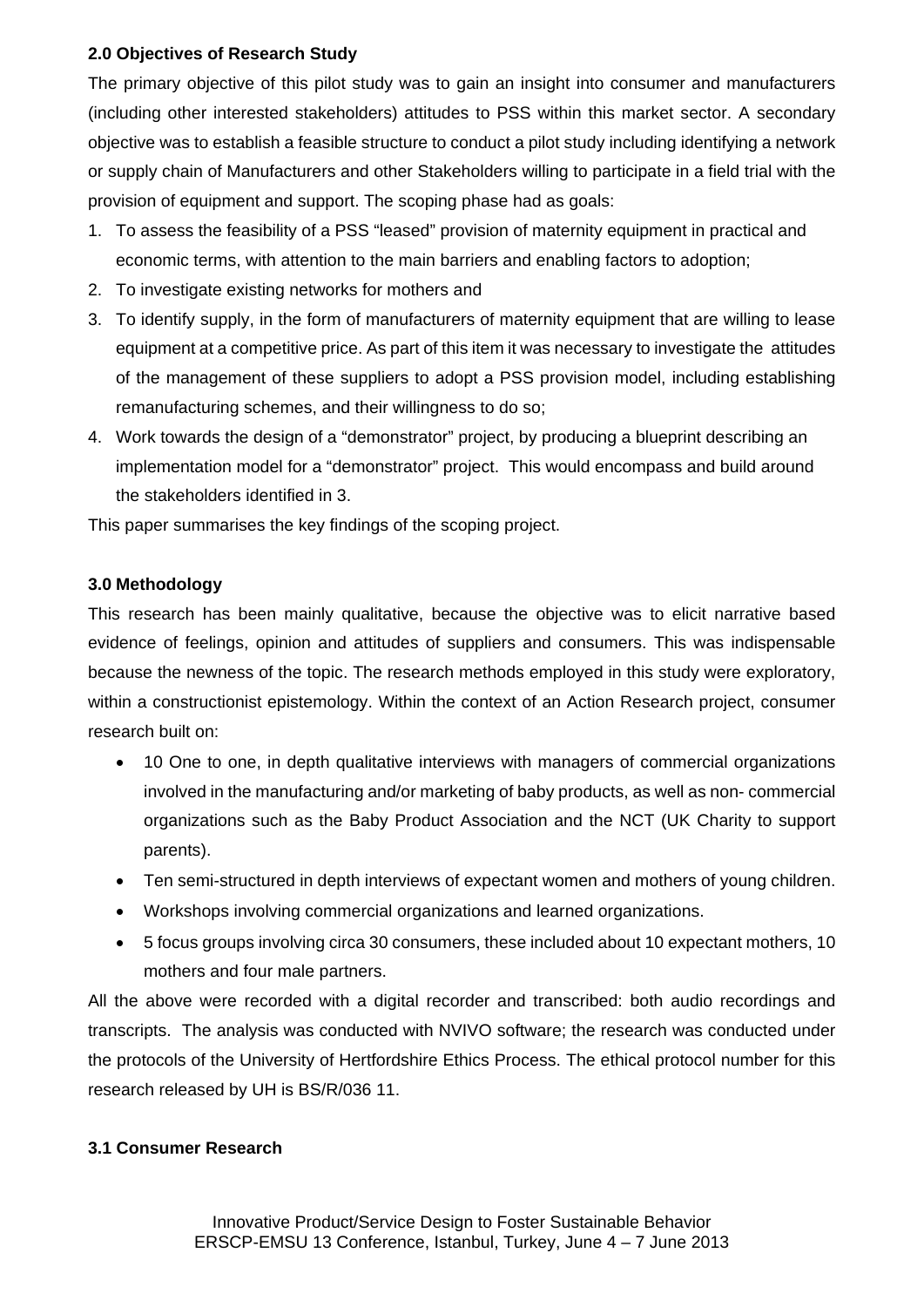# **2.0 Objectives of Research Study**

The primary objective of this pilot study was to gain an insight into consumer and manufacturers (including other interested stakeholders) attitudes to PSS within this market sector. A secondary objective was to establish a feasible structure to conduct a pilot study including identifying a network or supply chain of Manufacturers and other Stakeholders willing to participate in a field trial with the provision of equipment and support. The scoping phase had as goals:

- 1. To assess the feasibility of a PSS "leased" provision of maternity equipment in practical and economic terms, with attention to the main barriers and enabling factors to adoption;
- 2. To investigate existing networks for mothers and
- 3. To identify supply, in the form of manufacturers of maternity equipment that are willing to lease equipment at a competitive price. As part of this item it was necessary to investigate the attitudes of the management of these suppliers to adopt a PSS provision model, including establishing remanufacturing schemes, and their willingness to do so;
- 4. Work towards the design of a "demonstrator" project, by producing a blueprint describing an implementation model for a "demonstrator" project. This would encompass and build around the stakeholders identified in 3.

This paper summarises the key findings of the scoping project.

# **3.0 Methodology**

This research has been mainly qualitative, because the objective was to elicit narrative based evidence of feelings, opinion and attitudes of suppliers and consumers. This was indispensable because the newness of the topic. The research methods employed in this study were exploratory, within a constructionist epistemology. Within the context of an Action Research project, consumer research built on:

- 10 One to one, in depth qualitative interviews with managers of commercial organizations involved in the manufacturing and/or marketing of baby products, as well as non- commercial organizations such as the Baby Product Association and the NCT (UK Charity to support parents).
- Ten semi-structured in depth interviews of expectant women and mothers of young children.
- Workshops involving commercial organizations and learned organizations.
- 5 focus groups involving circa 30 consumers, these included about 10 expectant mothers, 10 mothers and four male partners.

All the above were recorded with a digital recorder and transcribed: both audio recordings and transcripts. The analysis was conducted with NVIVO software; the research was conducted under the protocols of the University of Hertfordshire Ethics Process. The ethical protocol number for this research released by UH is BS/R/036 11.

#### **3.1 Consumer Research**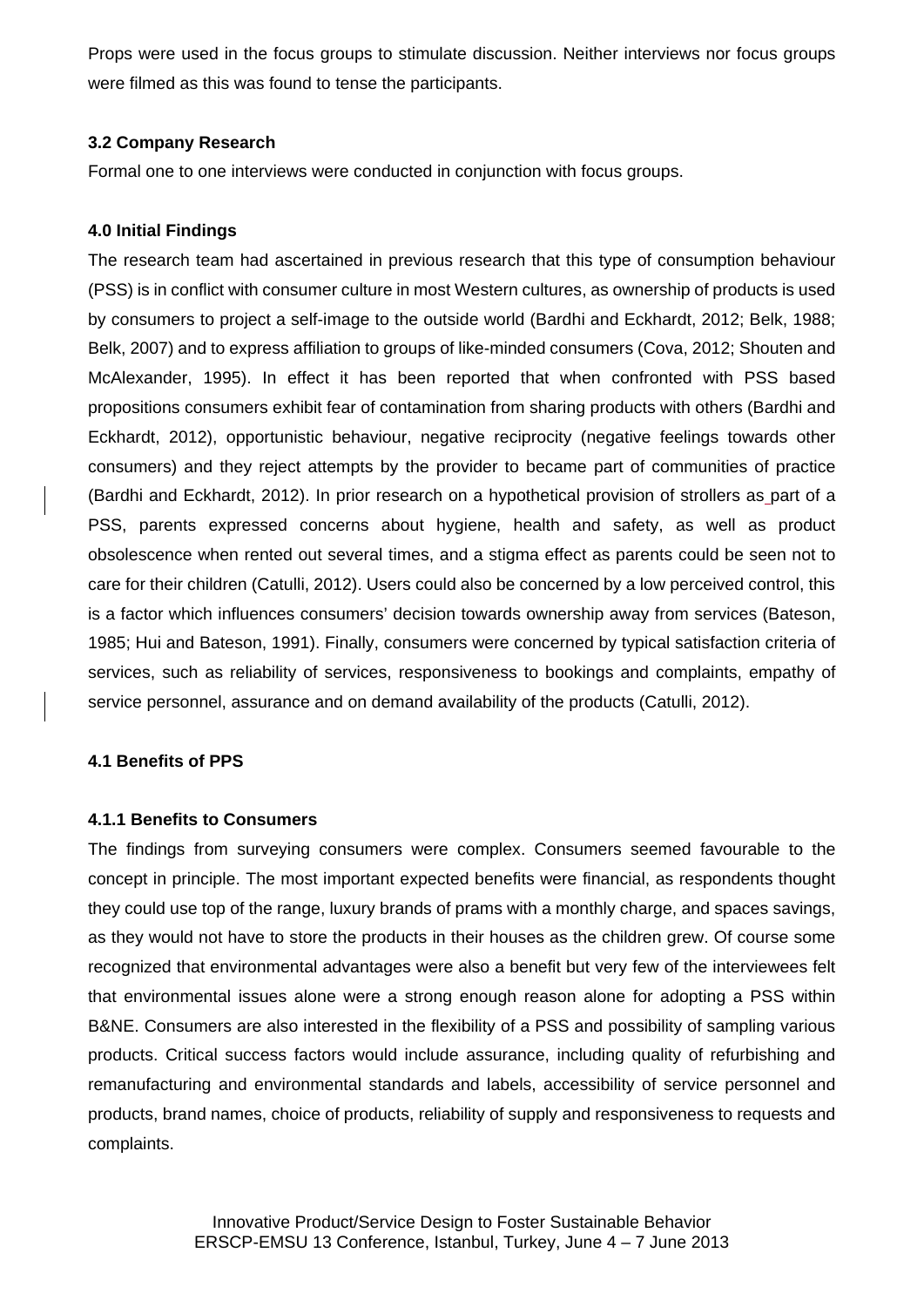Props were used in the focus groups to stimulate discussion. Neither interviews nor focus groups were filmed as this was found to tense the participants.

# **3.2 Company Research**

Formal one to one interviews were conducted in conjunction with focus groups.

# **4.0 Initial Findings**

The research team had ascertained in previous research that this type of consumption behaviour (PSS) is in conflict with consumer culture in most Western cultures, as ownership of products is used by consumers to project a self-image to the outside world (Bardhi and Eckhardt, 2012; Belk, 1988; Belk, 2007) and to express affiliation to groups of like-minded consumers (Cova, 2012; Shouten and McAlexander, 1995). In effect it has been reported that when confronted with PSS based propositions consumers exhibit fear of contamination from sharing products with others (Bardhi and Eckhardt, 2012), opportunistic behaviour, negative reciprocity (negative feelings towards other consumers) and they reject attempts by the provider to became part of communities of practice (Bardhi and Eckhardt, 2012). In prior research on a hypothetical provision of strollers as part of a PSS, parents expressed concerns about hygiene, health and safety, as well as product obsolescence when rented out several times, and a stigma effect as parents could be seen not to care for their children (Catulli, 2012). Users could also be concerned by a low perceived control, this is a factor which influences consumers' decision towards ownership away from services (Bateson, 1985; Hui and Bateson, 1991). Finally, consumers were concerned by typical satisfaction criteria of services, such as reliability of services, responsiveness to bookings and complaints, empathy of service personnel, assurance and on demand availability of the products (Catulli, 2012).

#### **4.1 Benefits of PPS**

#### **4.1.1 Benefits to Consumers**

The findings from surveying consumers were complex. Consumers seemed favourable to the concept in principle. The most important expected benefits were financial, as respondents thought they could use top of the range, luxury brands of prams with a monthly charge, and spaces savings, as they would not have to store the products in their houses as the children grew. Of course some recognized that environmental advantages were also a benefit but very few of the interviewees felt that environmental issues alone were a strong enough reason alone for adopting a PSS within B&NE. Consumers are also interested in the flexibility of a PSS and possibility of sampling various products. Critical success factors would include assurance, including quality of refurbishing and remanufacturing and environmental standards and labels, accessibility of service personnel and products, brand names, choice of products, reliability of supply and responsiveness to requests and complaints.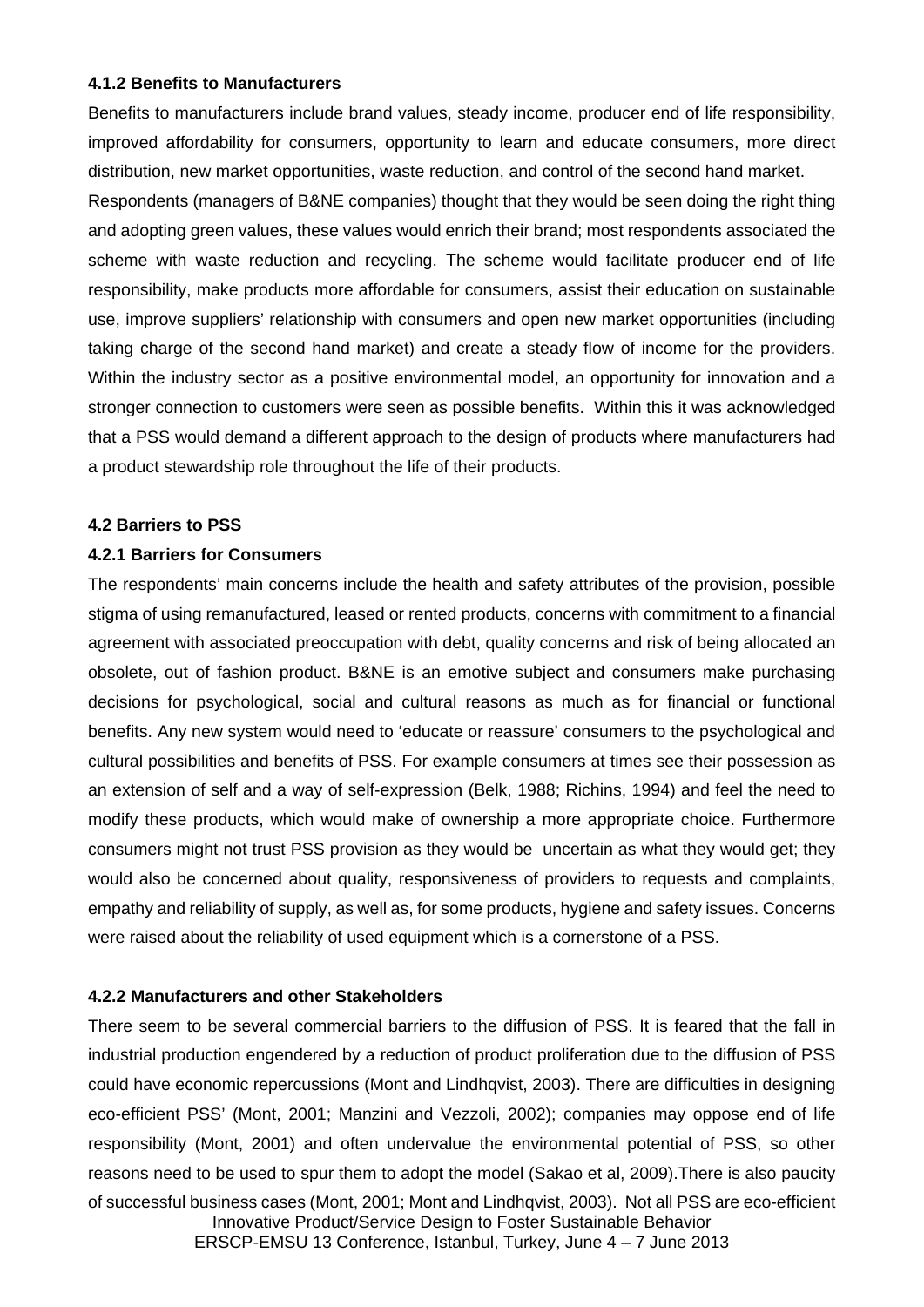#### **4.1.2 Benefits to Manufacturers**

Benefits to manufacturers include brand values, steady income, producer end of life responsibility, improved affordability for consumers, opportunity to learn and educate consumers, more direct distribution, new market opportunities, waste reduction, and control of the second hand market. Respondents (managers of B&NE companies) thought that they would be seen doing the right thing and adopting green values, these values would enrich their brand; most respondents associated the scheme with waste reduction and recycling. The scheme would facilitate producer end of life responsibility, make products more affordable for consumers, assist their education on sustainable use, improve suppliers' relationship with consumers and open new market opportunities (including taking charge of the second hand market) and create a steady flow of income for the providers. Within the industry sector as a positive environmental model, an opportunity for innovation and a stronger connection to customers were seen as possible benefits. Within this it was acknowledged that a PSS would demand a different approach to the design of products where manufacturers had a product stewardship role throughout the life of their products.

# **4.2 Barriers to PSS**

# **4.2.1 Barriers for Consumers**

The respondents' main concerns include the health and safety attributes of the provision, possible stigma of using remanufactured, leased or rented products, concerns with commitment to a financial agreement with associated preoccupation with debt, quality concerns and risk of being allocated an obsolete, out of fashion product. B&NE is an emotive subject and consumers make purchasing decisions for psychological, social and cultural reasons as much as for financial or functional benefits. Any new system would need to 'educate or reassure' consumers to the psychological and cultural possibilities and benefits of PSS. For example consumers at times see their possession as an extension of self and a way of self-expression (Belk, 1988; Richins, 1994) and feel the need to modify these products, which would make of ownership a more appropriate choice. Furthermore consumers might not trust PSS provision as they would be uncertain as what they would get; they would also be concerned about quality, responsiveness of providers to requests and complaints, empathy and reliability of supply, as well as, for some products, hygiene and safety issues. Concerns were raised about the reliability of used equipment which is a cornerstone of a PSS.

# **4.2.2 Manufacturers and other Stakeholders**

Innovative Product/Service Design to Foster Sustainable Behavior ERSCP-EMSU 13 Conference, Istanbul, Turkey, June 4 – 7 June 2013 There seem to be several commercial barriers to the diffusion of PSS. It is feared that the fall in industrial production engendered by a reduction of product proliferation due to the diffusion of PSS could have economic repercussions (Mont and Lindhqvist, 2003). There are difficulties in designing eco-efficient PSS' (Mont, 2001; Manzini and Vezzoli, 2002); companies may oppose end of life responsibility (Mont, 2001) and often undervalue the environmental potential of PSS, so other reasons need to be used to spur them to adopt the model (Sakao et al, 2009).There is also paucity of successful business cases (Mont, 2001; Mont and Lindhqvist, 2003). Not all PSS are eco-efficient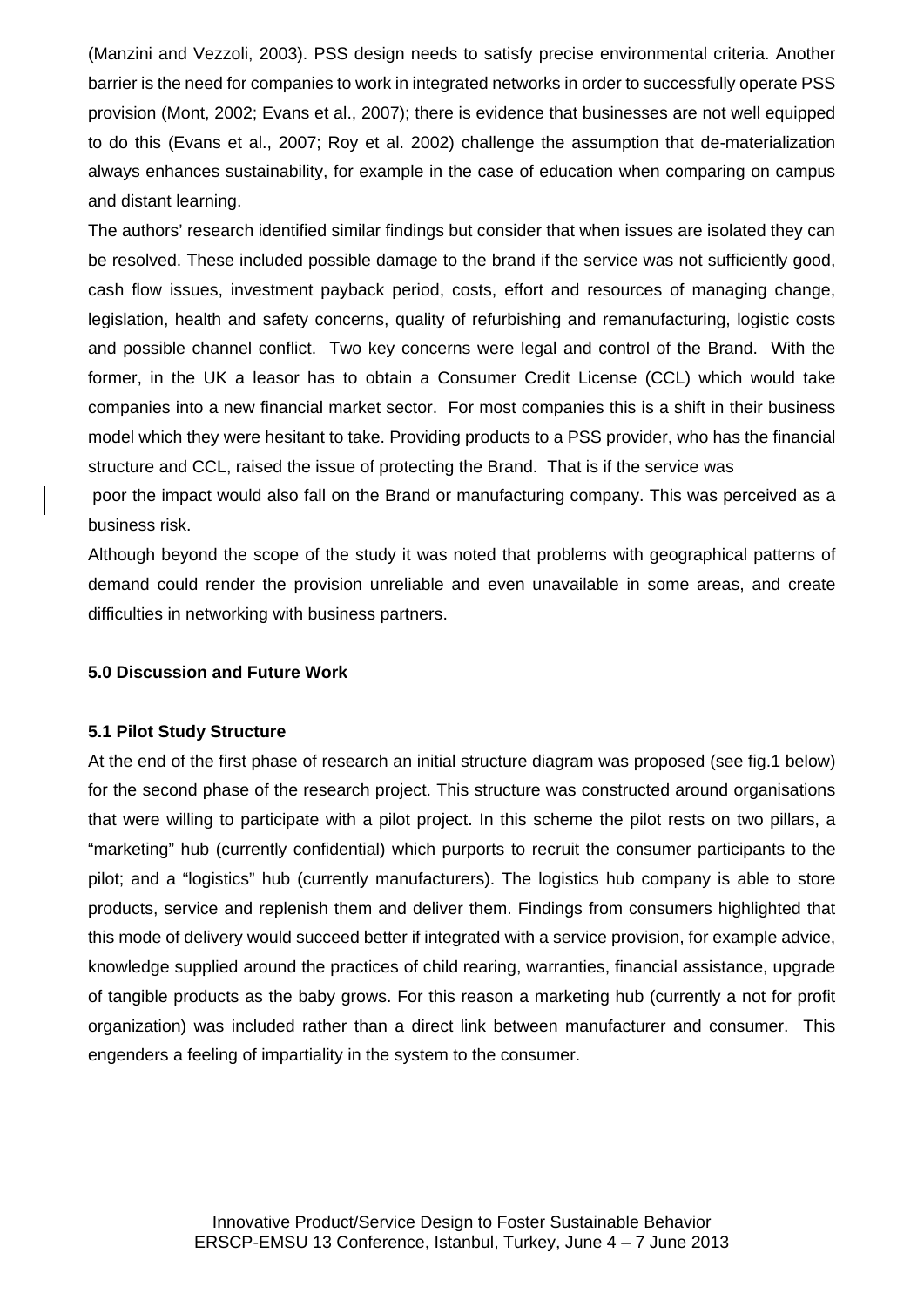(Manzini and Vezzoli, 2003). PSS design needs to satisfy precise environmental criteria. Another barrier is the need for companies to work in integrated networks in order to successfully operate PSS provision (Mont, 2002; Evans et al., 2007); there is evidence that businesses are not well equipped to do this (Evans et al., 2007; Roy et al. 2002) challenge the assumption that de-materialization always enhances sustainability, for example in the case of education when comparing on campus and distant learning.

The authors' research identified similar findings but consider that when issues are isolated they can be resolved. These included possible damage to the brand if the service was not sufficiently good, cash flow issues, investment payback period, costs, effort and resources of managing change, legislation, health and safety concerns, quality of refurbishing and remanufacturing, logistic costs and possible channel conflict. Two key concerns were legal and control of the Brand. With the former, in the UK a leasor has to obtain a Consumer Credit License (CCL) which would take companies into a new financial market sector. For most companies this is a shift in their business model which they were hesitant to take. Providing products to a PSS provider, who has the financial structure and CCL, raised the issue of protecting the Brand. That is if the service was

 poor the impact would also fall on the Brand or manufacturing company. This was perceived as a business risk.

Although beyond the scope of the study it was noted that problems with geographical patterns of demand could render the provision unreliable and even unavailable in some areas, and create difficulties in networking with business partners.

#### **5.0 Discussion and Future Work**

#### **5.1 Pilot Study Structure**

At the end of the first phase of research an initial structure diagram was proposed (see fig.1 below) for the second phase of the research project. This structure was constructed around organisations that were willing to participate with a pilot project. In this scheme the pilot rests on two pillars, a "marketing" hub (currently confidential) which purports to recruit the consumer participants to the pilot; and a "logistics" hub (currently manufacturers). The logistics hub company is able to store products, service and replenish them and deliver them. Findings from consumers highlighted that this mode of delivery would succeed better if integrated with a service provision, for example advice, knowledge supplied around the practices of child rearing, warranties, financial assistance, upgrade of tangible products as the baby grows. For this reason a marketing hub (currently a not for profit organization) was included rather than a direct link between manufacturer and consumer. This engenders a feeling of impartiality in the system to the consumer.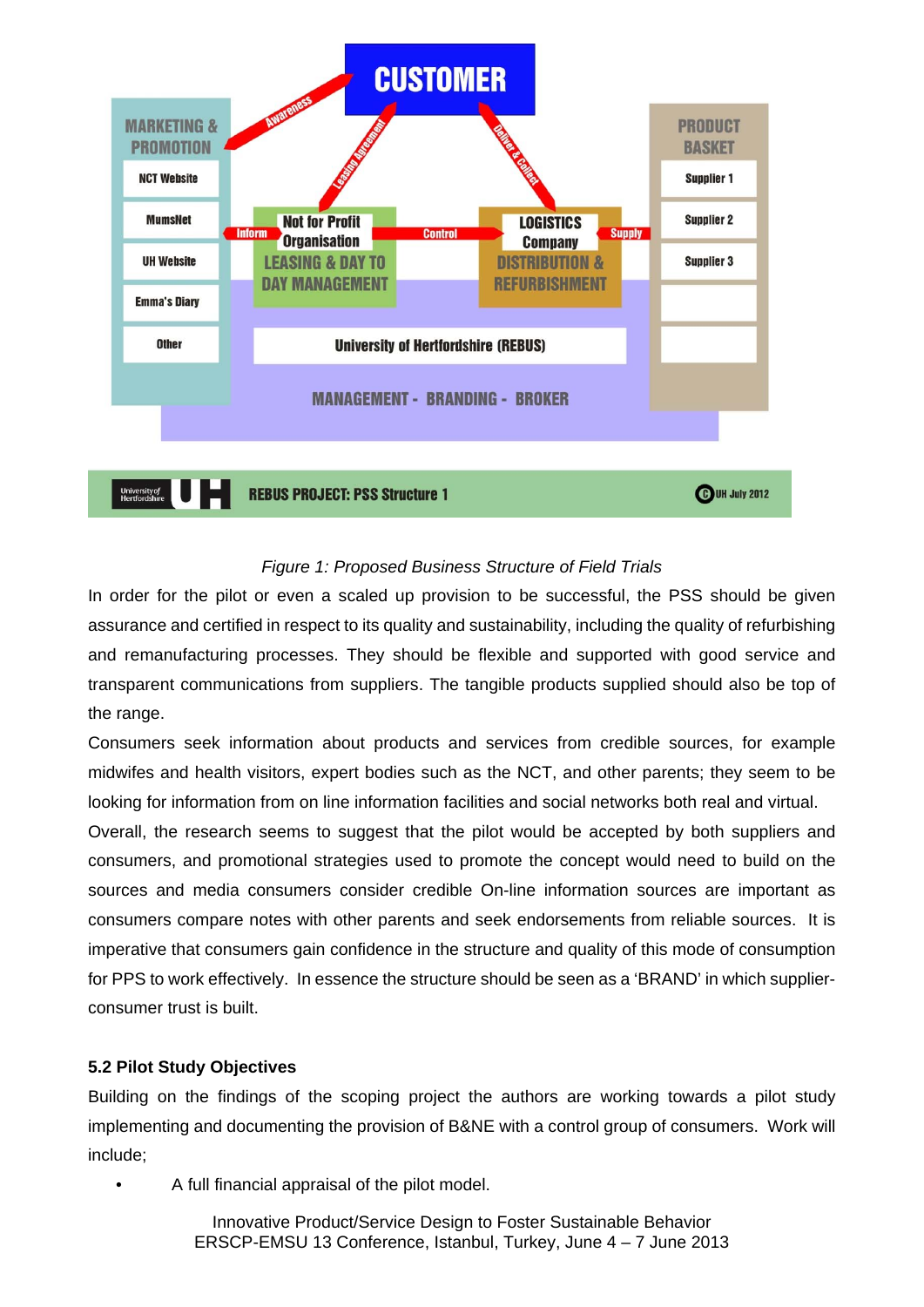

# *Figure 1: Proposed Business Structure of Field Trials*

In order for the pilot or even a scaled up provision to be successful, the PSS should be given assurance and certified in respect to its quality and sustainability, including the quality of refurbishing and remanufacturing processes. They should be flexible and supported with good service and transparent communications from suppliers. The tangible products supplied should also be top of the range.

Consumers seek information about products and services from credible sources, for example midwifes and health visitors, expert bodies such as the NCT, and other parents; they seem to be looking for information from on line information facilities and social networks both real and virtual.

Overall, the research seems to suggest that the pilot would be accepted by both suppliers and consumers, and promotional strategies used to promote the concept would need to build on the sources and media consumers consider credible On-line information sources are important as consumers compare notes with other parents and seek endorsements from reliable sources. It is imperative that consumers gain confidence in the structure and quality of this mode of consumption for PPS to work effectively. In essence the structure should be seen as a 'BRAND' in which supplierconsumer trust is built.

# **5.2 Pilot Study Objectives**

Building on the findings of the scoping project the authors are working towards a pilot study implementing and documenting the provision of B&NE with a control group of consumers. Work will include;

• A full financial appraisal of the pilot model.

Innovative Product/Service Design to Foster Sustainable Behavior ERSCP-EMSU 13 Conference, Istanbul, Turkey, June 4 – 7 June 2013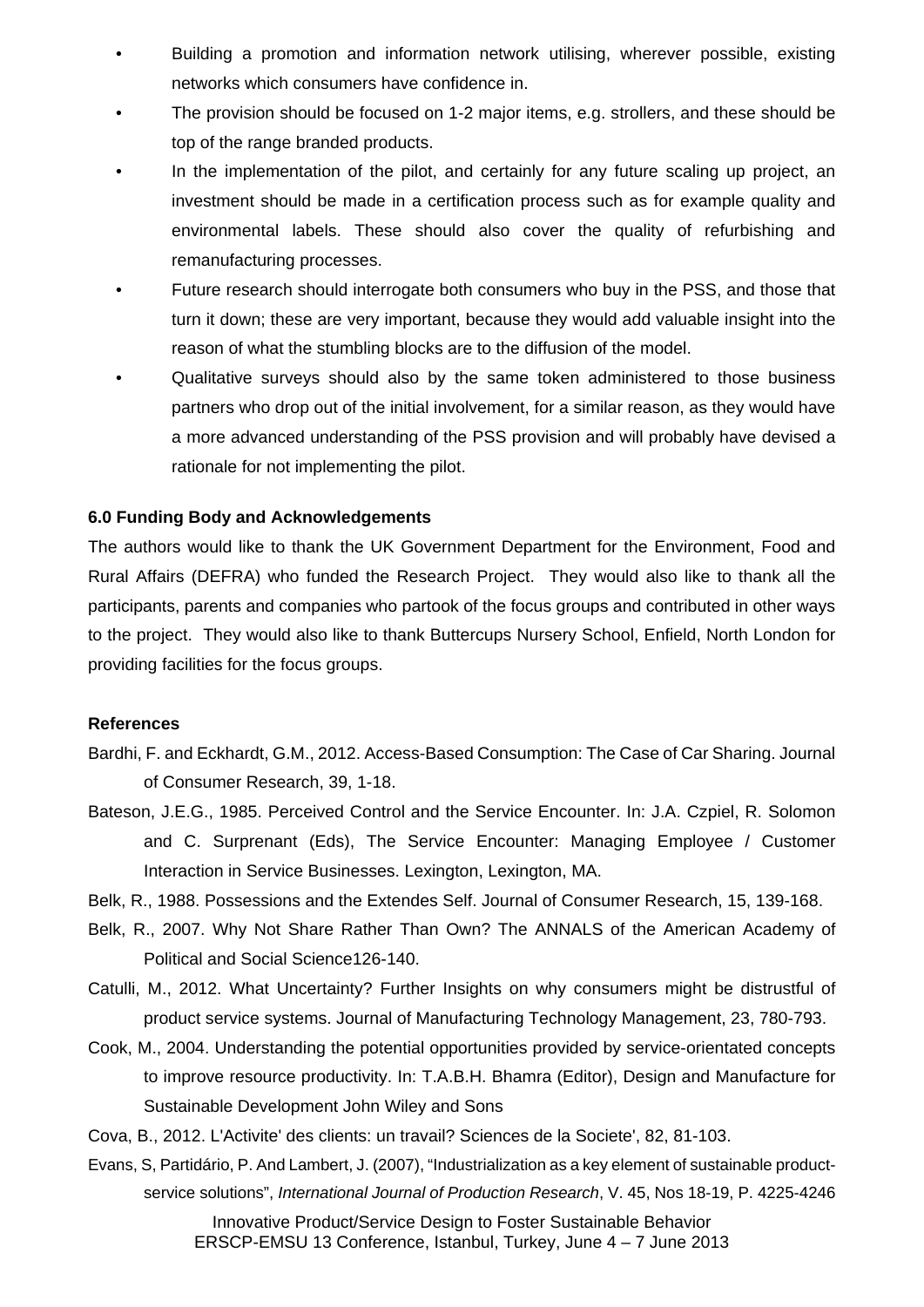- Building a promotion and information network utilising, wherever possible, existing networks which consumers have confidence in.
- The provision should be focused on 1-2 major items, e.g. strollers, and these should be top of the range branded products.
- In the implementation of the pilot, and certainly for any future scaling up project, an investment should be made in a certification process such as for example quality and environmental labels. These should also cover the quality of refurbishing and remanufacturing processes.
- Future research should interrogate both consumers who buy in the PSS, and those that turn it down; these are very important, because they would add valuable insight into the reason of what the stumbling blocks are to the diffusion of the model.
- Qualitative surveys should also by the same token administered to those business partners who drop out of the initial involvement, for a similar reason, as they would have a more advanced understanding of the PSS provision and will probably have devised a rationale for not implementing the pilot.

# **6.0 Funding Body and Acknowledgements**

The authors would like to thank the UK Government Department for the Environment, Food and Rural Affairs (DEFRA) who funded the Research Project. They would also like to thank all the participants, parents and companies who partook of the focus groups and contributed in other ways to the project. They would also like to thank Buttercups Nursery School, Enfield, North London for providing facilities for the focus groups.

#### **References**

- Bardhi, F. and Eckhardt, G.M., 2012. Access-Based Consumption: The Case of Car Sharing. Journal of Consumer Research, 39, 1-18.
- Bateson, J.E.G., 1985. Perceived Control and the Service Encounter. In: J.A. Czpiel, R. Solomon and C. Surprenant (Eds), The Service Encounter: Managing Employee / Customer Interaction in Service Businesses. Lexington, Lexington, MA.
- Belk, R., 1988. Possessions and the Extendes Self. Journal of Consumer Research, 15, 139-168.
- Belk, R., 2007. Why Not Share Rather Than Own? The ANNALS of the American Academy of Political and Social Science126-140.
- Catulli, M., 2012. What Uncertainty? Further Insights on why consumers might be distrustful of product service systems. Journal of Manufacturing Technology Management, 23, 780-793.
- Cook, M., 2004. Understanding the potential opportunities provided by service-orientated concepts to improve resource productivity. In: T.A.B.H. Bhamra (Editor), Design and Manufacture for Sustainable Development John Wiley and Sons
- Cova, B., 2012. L'Activite' des clients: un travail? Sciences de la Societe', 82, 81-103.
- Evans, S, Partidário, P. And Lambert, J. (2007), "Industrialization as a key element of sustainable productservice solutions", *International Journal of Production Research*, V. 45, Nos 18-19, P. 4225-4246

Innovative Product/Service Design to Foster Sustainable Behavior ERSCP-EMSU 13 Conference, Istanbul, Turkey, June 4 – 7 June 2013